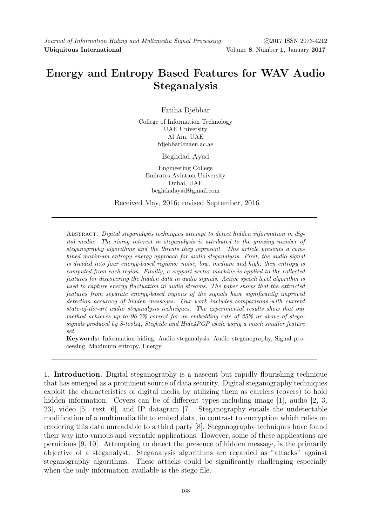# Energy and Entropy Based Features for WAV Audio Steganalysis

Fatiha Djebbar

College of Information Technology UAE University Al Ain, UAE fdjebbar@uaeu.ac.ae

Beghdad Ayad

Engineering College Emirates Aviation University Dubai, UAE beghdadayad@gmail.com

Received May, 2016; revised September, 2016

Abstract. Digital steganalysis techniques attempt to detect hidden information in digital media. The rising interest in steganalysis is attributed to the growing number of steganography algorithms and the threats they represent. This article presents a combined maximum entropy energy approach for audio steganalysis. First, the audio signal is divided into four energy-based regions: noise, low, medium and high; then entropy is computed from each region. Finally, a support vector machine is applied to the collected features for discovering the hidden data in audio signals. Active speech level algorithm is used to capture energy fluctuation in audio streams. The paper shows that the extracted features from separate energy-based regions of the signals have significantly improved detection accuracy of hidden messages. Our work includes comparisons with current state-of-the-art audio steganalysis techniques. The experimental results show that our method achieves up to 96.7% correct for an embedding rate of 25% or above of stegosignals produced by S-tools4, Steghide and Hide4PGP while using a much smaller feature set.

Keywords: Information hiding, Audio steganalysis, Audio steganography, Signal processing, Maximum entropy, Energy.

1. Introduction. Digital steganography is a nascent but rapidly flourishing technique that has emerged as a prominent source of data security. Digital steganography techniques exploit the characteristics of digital media by utilizing them as carriers (covers) to hold hidden information. Covers can be of different types including image [1], audio [2, 3, 23], video [5], text [6], and IP datagram [7]. Steganography entails the undetectable modification of a multimedia file to embed data, in contrast to encryption which relies on rendering this data unreadable to a third party [8]. Steganography techniques have found their way into various and versatile applications. However, some of these applications are pernicious [9, 10]. Attempting to detect the presence of hidden message, is the primarily objective of a steganalyst. Steganalysis algorithms are regarded as "attacks" against steganography algorithms. These attacks could be significantly challenging especially when the only information available is the stego-file.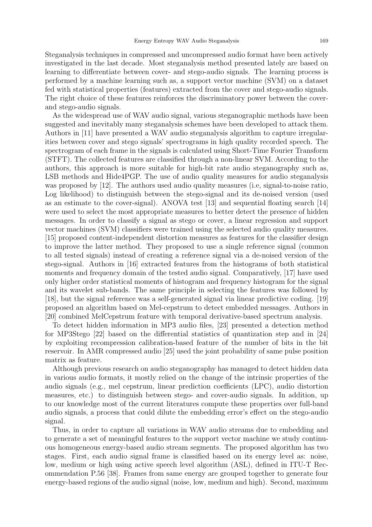Steganalysis techniques in compressed and uncompressed audio format have been actively investigated in the last decade. Most steganalysis method presented lately are based on learning to differentiate between cover- and stego-audio signals. The learning process is performed by a machine learning such as, a support vector machine (SVM) on a dataset fed with statistical properties (features) extracted from the cover and stego-audio signals. The right choice of these features reinforces the discriminatory power between the coverand stego-audio signals.

As the widespread use of WAV audio signal, various steganographic methods have been suggested and inevitably many steganalysis schemes have been developed to attack them. Authors in [11] have presented a WAV audio steganalysis algorithm to capture irregularities between cover and stego signals' spectrograms in high quality recorded speech. The spectrogram of each frame in the signals is calculated using Short-Time Fourier Transform (STFT). The collected features are classified through a non-linear SVM. According to the authors, this approach is more suitable for high-bit rate audio steganography such as, LSB methods and Hide4PGP. The use of audio quality measures for audio steganalysis was proposed by [12]. The authors used audio quality measures (i.e. signal-to-noise ratio, Log likelihood) to distinguish between the stego-signal and its de-noised version (used as an estimate to the cover-signal). ANOVA test [13] and sequential floating search [14] were used to select the most appropriate measures to better detect the presence of hidden messages. In order to classify a signal as stego or cover, a linear regression and support vector machines (SVM) classifiers were trained using the selected audio quality measures. [15] proposed content-independent distortion measures as features for the classifier design to improve the latter method. They proposed to use a single reference signal (common to all tested signals) instead of creating a reference signal via a de-noised version of the stego-signal. Authors in [16] extracted features from the histograms of both statistical moments and frequency domain of the tested audio signal. Comparatively, [17] have used only higher order statistical moments of histogram and frequency histogram for the signal and its wavelet sub-bands. The same principle in selecting the features was followed by [18], but the signal reference was a self-generated signal via linear predictive coding. [19] proposed an algorithm based on Mel-cepstrum to detect embedded messages. Authors in [20] combined MelCepstrum feature with temporal derivative-based spectrum analysis.

To detect hidden information in MP3 audio files, [23] presented a detection method for MP3Stego [22] based on the differential statistics of quantization step and in [24] by exploiting recompression calibration-based feature of the number of bits in the bit reservoir. In AMR compressed audio [25] used the joint probability of same pulse position matrix as feature.

Although previous research on audio steganography has managed to detect hidden data in various audio formats, it mostly relied on the change of the intrinsic properties of the audio signals (e.g., mel cepstrum, linear prediction coefficients (LPC), audio distortion measures, etc.) to distinguish between stego- and cover-audio signals. In addition, up to our knowledge most of the current literatures compute these properties over full-band audio signals, a process that could dilute the embedding error's effect on the stego-audio signal.

Thus, in order to capture all variations in WAV audio streams due to embedding and to generate a set of meaningful features to the support vector machine we study continuous homogeneous energy-based audio stream segments. The proposed algorithm has two stages. First, each audio signal frame is classified based on its energy level as: noise, low, medium or high using active speech level algorithm (ASL), defined in ITU-T Recommendation P.56 [38]. Frames from same energy are grouped together to generate four energy-based regions of the audio signal (noise, low, medium and high). Second, maximum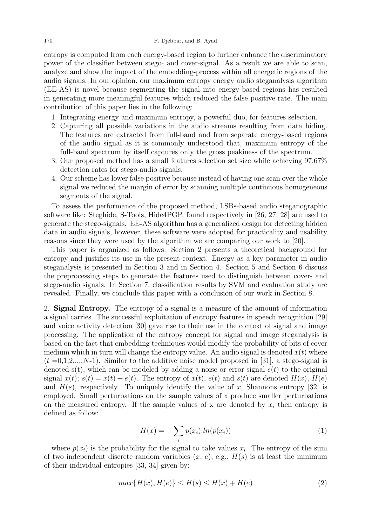entropy is computed from each energy-based region to further enhance the discriminatory power of the classifier between stego- and cover-signal. As a result we are able to scan, analyze and show the impact of the embedding-process within all energetic regions of the audio signals. In our opinion, our maximum entropy energy audio steganalysis algorithm (EE-AS) is novel because segmenting the signal into energy-based regions has resulted in generating more meaningful features which reduced the false positive rate. The main contribution of this paper lies in the following:

- 1. Integrating energy and maximum entropy, a powerful duo, for features selection.
- 2. Capturing all possible variations in the audio streams resulting from data hiding. The features are extracted from full-band and from separate energy-based regions of the audio signal as it is commonly understood that, maximum entropy of the full-band spectrum by itself captures only the gross peakiness of the spectrum.
- 3. Our proposed method has a small features selection set size while achieving 97.67% detection rates for stego-audio signals.
- 4. Our scheme has lower false positive because instead of having one scan over the whole signal we reduced the margin of error by scanning multiple continuous homogeneous segments of the signal.

To assess the performance of the proposed method, LSBs-based audio steganographic software like: Steghide, S-Tools, Hide4PGP, found respectively in [26, 27, 28] are used to generate the stego-signals. EE-AS algorithm has a generalized design for detecting hidden data in audio signals, however, these software were adopted for practicality and usability reasons since they were used by the algorithm we are comparing our work to [20].

This paper is organized as follows: Section 2 presents a theoretical background for entropy and justifies its use in the present context. Energy as a key parameter in audio steganalysis is presented in Section 3 and in Section 4. Section 5 and Section 6 discuss the preprocessing steps to generate the features used to distinguish between cover- and stego-audio signals. In Section 7, classification results by SVM and evaluation study are revealed. Finally, we conclude this paper with a conclusion of our work in Section 8.

2. Signal Entropy. The entropy of a signal is a measure of the amount of information a signal carries. The successful exploitation of entropy features in speech recognition [29] and voice activity detection [30] gave rise to their use in the context of signal and image processing. The application of the entropy concept for signal and image steganalysis is based on the fact that embedding techniques would modify the probability of bits of cover medium which in turn will change the entropy value. An audio signal is denoted  $x(t)$  where  $(t=0,1,2,...,N-1)$ . Similar to the additive noise model proposed in [31], a stego-signal is denoted s(t), which can be modeled by adding a noise or error signal  $e(t)$  to the original signal  $x(t)$ ;  $s(t) = x(t) + e(t)$ . The entropy of  $x(t)$ ,  $e(t)$  and  $s(t)$  are denoted  $H(x)$ ,  $H(e)$ and  $H(s)$ , respectively. To uniquely identify the value of x, Shannons entropy [32] is employed. Small perturbations on the sample values of x produce smaller perturbations on the measured entropy. If the sample values of x are denoted by  $x_i$  then entropy is defined as follow:

$$
H(x) = -\sum_{i} p(x_i).ln(p(x_i))
$$
\n(1)

where  $p(x_i)$  is the probability for the signal to take values  $x_i$ . The entropy of the sum of two independent discrete random variables  $(x, e)$ , e.g.,  $H(s)$  is at least the minimum of their individual entropies [33, 34] given by:

$$
\max\{H(x), H(e)\} \le H(s) \le H(x) + H(e) \tag{2}
$$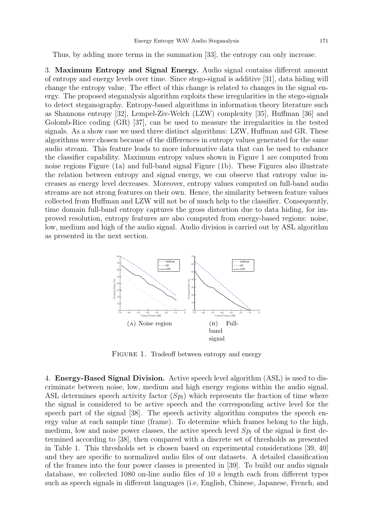Thus, by adding more terms in the summation [33], the entropy can only increase.

3. Maximum Entropy and Signal Energy. Audio signal contains different amount of entropy and energy levels over time. Since stego-signal is additive [31], data hiding will change the entropy value. The effect of this change is related to changes in the signal energy. The proposed steganalysis algorithm exploits these irregularities in the stego-signals to detect steganography. Entropy-based algorithms in information theory literature such as Shannons entropy [32], Lempel-Ziv-Welch (LZW) complexity [35], Huffman [36] and Golomb-Rice coding (GR) [37], can be used to measure the irregularities in the tested signals. As a show case we used three distinct algorithms: LZW, Huffman and GR. These algorithms were chosen because of the differences in entropy values generated for the same audio stream. This feature leads to more informative data that can be used to enhance the classifier capability. Maximum entropy values shown in Figure 1 are computed from noise regions Figure (1a) and full-band signal Figure (1b). These Figures also illustrate the relation between entropy and signal energy, we can observe that entropy value increases as energy level decreases. Moreover, entropy values computed on full-band audio streams are not strong features on their own. Hence, the similarity between feature values collected from Huffman and LZW will not be of much help to the classifier. Consequently, time domain full-band entropy captures the gross distortion due to data hiding, for improved resolution, entropy features are also computed from energy-based regions: noise, low, medium and high of the audio signal. Audio division is carried out by ASL algorithm as presented in the next section.



FIGURE 1. Tradeoff between entropy and energy

4. Energy-Based Signal Division. Active speech level algorithm (ASL) is used to discriminate between noise, low, medium and high energy regions within the audio signal. ASL determines speech activity factor  $(Sp_l)$  which represents the fraction of time where the signal is considered to be active speech and the corresponding active level for the speech part of the signal [38]. The speech activity algorithm computes the speech energy value at each sample time (frame). To determine which frames belong to the high, medium, low and noise power classes, the active speech level  $Sp<sub>l</sub>$  of the signal is first determined according to [38], then compared with a discrete set of thresholds as presented in Table 1. This thresholds set is chosen based on experimental considerations [39, 40] and they are specific to normalized audio files of our datasets. A detailed classification of the frames into the four power classes is presented in [39]. To build our audio signals database, we collected 1080 on-line audio files of 10 s length each from different types such as speech signals in different languages (i.e, English, Chinese, Japanese, French, and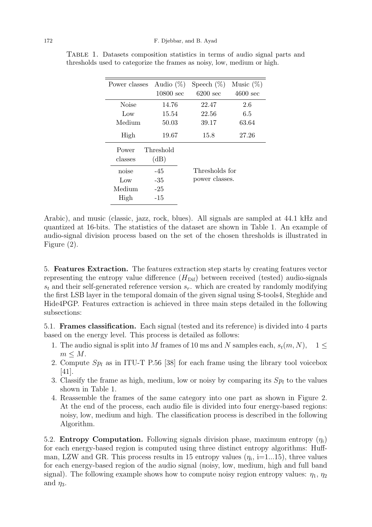| Power classes | Audio $(\%)$        | Speech $(\%)$      | Music $(\%)$       |
|---------------|---------------------|--------------------|--------------------|
|               | $10800 \text{ sec}$ | $6200 \text{ sec}$ | $4600 \text{ sec}$ |
| Noise         | 14.76               | 22.47              | 2.6                |
| Low           | 15.54               | 22.56              | 6.5                |
| Medium        | 50.03               | 39.17              | 63.64              |
| High          | 19.67               | 15.8               | 27.26              |
| Power         | Threshold           |                    |                    |
| classes       | (dB)                |                    |                    |
| noise         | $-45$               | Thresholds for     |                    |
| Low           | $-35$               | power classes.     |                    |
| Medium        | $-25$               |                    |                    |
| High          | -15                 |                    |                    |

Table 1. Datasets composition statistics in terms of audio signal parts and thresholds used to categorize the frames as noisy, low, medium or high.

Arabic), and music (classic, jazz, rock, blues). All signals are sampled at 44.1 kHz and quantized at 16-bits. The statistics of the dataset are shown in Table 1. An example of audio-signal division process based on the set of the chosen thresholds is illustrated in Figure (2).

5. Features Extraction. The features extraction step starts by creating features vector representing the entropy value difference  $(H_{\text{Dif}})$  between received (tested) audio-signals  $s_t$  and their self-generated reference version  $s_r$ . which are created by randomly modifying the first LSB layer in the temporal domain of the given signal using S-tools4, Steghide and Hide4PGP. Features extraction is achieved in three main steps detailed in the following subsections:

5.1. Frames classification. Each signal (tested and its reference) is divided into 4 parts based on the energy level. This process is detailed as follows:

- 1. The audio signal is split into M frames of 10 ms and N samples each,  $s_t(m, N)$ , 1  $m \leq M$ .
- 2. Compute  $Sp<sub>l</sub>$  as in ITU-T P.56 [38] for each frame using the library tool voicebox [41].
- 3. Classify the frame as high, medium, low or noisy by comparing its  $Sp<sub>l</sub>$  to the values shown in Table 1.
- 4. Reassemble the frames of the same category into one part as shown in Figure 2. At the end of the process, each audio file is divided into four energy-based regions: noisy, low, medium and high. The classification process is described in the following Algorithm.

5.2. Entropy Computation. Following signals division phase, maximum entropy  $(\eta_i)$ for each energy-based region is computed using three distinct entropy algorithms: Huffman, LZW and GR. This process results in 15 entropy values  $(\eta_i, i=1...15)$ , three values for each energy-based region of the audio signal (noisy, low, medium, high and full band signal). The following example shows how to compute noisy region entropy values:  $\eta_1$ ,  $\eta_2$ and  $\eta_3$ .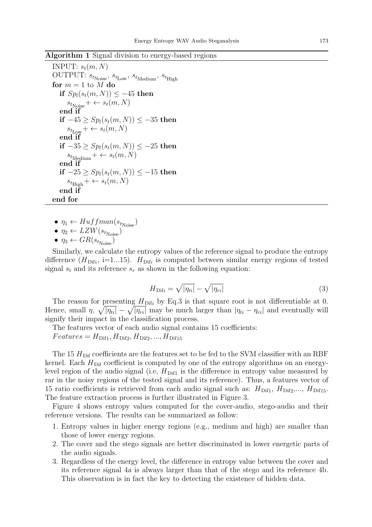#### Algorithm 1 Signal division to energy-based regions

```
INPUT: s_t(m, N)OUTPUT: s_{t_\mathrm{Noise}},\, s_{t_\mathrm{Low}},\, s_{t_\mathrm{Medium}},\, s_{t_\mathrm{High}}for m = 1 to M do
   if Sp_l(s_t(m,N)) \leq -45 then
       s_{t_{\text{Noise}}} + \leftarrow s_t(m, N)end if
   if -45 \ge Sp<sub>l</sub>(s<sub>t</sub>(m, N)) \le -35 then
       s_{t_{\text{Low}}} + \leftarrow s_t(m, N)end if
   if -35 ≥ Sp<sub>l</sub>(s<sub>t</sub>(m, N)) ≤ −25 then
       s_{t_{\text{Median}}} + \leftarrow s_t(m, N)end if
   if -25 ≥ Sp_l(s_t(m, N)) ≤ -15 then
       s_{t_\text{High}} + \leftarrow s_t(m,N)end if
end for
```
- $\eta_1 \leftarrow Huffman(s_{t_{\text{Noise}}})$
- $\eta_2 \leftarrow LZW(s_{t_{\text{Noise}}})$
- $\eta_3 \leftarrow GR(s_{t_{\text{Noise}}})$

Similarly, we calculate the entropy values of the reference signal to produce the entropy difference  $(H_{\text{Diff}_i}, i=1...15)$ .  $H_{\text{Diff}_i}$  is computed between similar energy regions of tested signal  $s_t$  and its reference  $s_r$  as shown in the following equation:

$$
H_{\text{Diff}i} = \sqrt{|\eta_{ti}|} - \sqrt{|\eta_{ri}|} \tag{3}
$$

The reason for presenting  $H_{\text{Diff}_i}$  by Eq.3 is that square root is not differentiable at 0. Hence, small  $\eta$ ,  $\sqrt{|\eta_{ti}|} - \sqrt{|\eta_{ri}|}$  may be much larger than  $|\eta_{ti} - \eta_{ri}|$  and eventually will signify their impact in the classification process.

The features vector of each audio signal contains 15 coefficients:

 $Features = H<sub>Diff1</sub>, H<sub>Diff2</sub>, H<sub>Diff2</sub>, ..., H<sub>Diff15</sub>$ 

The 15  $H_{\text{Dir}}$  coefficients are the features set to be fed to the SVM classifier with an RBF kernel. Each  $H_{\text{Diff}}$  coefficient is computed by one of the entropy algorithms on an energylevel region of the audio signal (i.e,  $H_{\text{Diff1}}$  is the difference in entropy value measured by rar in the noisy regions of the tested signal and its reference). Thus, a features vector of 15 ratio coefficients is retrieved from each audio signal such as:  $H_{\text{Diff1}}$ ,  $H_{\text{Diff2}}$ ,...,  $H_{\text{Diff15}}$ . The feature extraction process is further illustrated in Figure 3.

Figure 4 shows entropy values computed for the cover-audio, stego-audio and their reference versions. The results can be summarized as follow:

- 1. Entropy values in higher energy regions (e.g., medium and high) are smaller than those of lower energy regions.
- 2. The cover and the stego signals are better discriminated in lower energetic parts of the audio signals.
- 3. Regardless of the energy level, the difference in entropy value between the cover and its reference signal 4a is always larger than that of the stego and its reference 4b. This observation is in fact the key to detecting the existence of hidden data.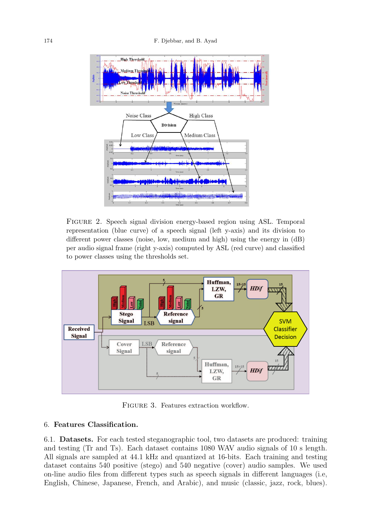

Figure 2. Speech signal division energy-based region using ASL. Temporal representation (blue curve) of a speech signal (left y-axis) and its division to different power classes (noise, low, medium and high) using the energy in (dB) per audio signal frame (right y-axis) computed by ASL (red curve) and classified to power classes using the thresholds set.



FIGURE 3. Features extraction workflow.

### 6. Features Classification.

6.1. Datasets. For each tested steganographic tool, two datasets are produced: training and testing (Tr and Ts). Each dataset contains 1080 WAV audio signals of 10 s length. All signals are sampled at 44.1 kHz and quantized at 16-bits. Each training and testing dataset contains 540 positive (stego) and 540 negative (cover) audio samples. We used on-line audio files from different types such as speech signals in different languages (i.e, English, Chinese, Japanese, French, and Arabic), and music (classic, jazz, rock, blues).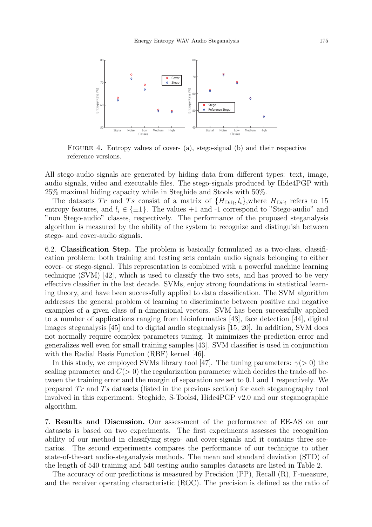

FIGURE 4. Entropy values of cover- (a), stego-signal (b) and their respective reference versions.

All stego-audio signals are generated by hiding data from different types: text, image, audio signals, video and executable files. The stego-signals produced by Hide4PGP with 25% maximal hiding capacity while in Steghide and Stools with 50%.

The datasets Tr and Ts consist of a matrix of  $\{H_{\text{Diff}_i}, l_i\}$ , where  $H_{\text{Diff}_i}$  refers to 15 entropy features, and  $l_i \in \{\pm 1\}$ . The values  $+1$  and  $-1$  correspond to "Stego-audio" and "non Stego-audio" classes, respectively. The performance of the proposed steganalysis algorithm is measured by the ability of the system to recognize and distinguish between stego- and cover-audio signals.

6.2. Classification Step. The problem is basically formulated as a two-class, classification problem: both training and testing sets contain audio signals belonging to either cover- or stego-signal. This representation is combined with a powerful machine learning technique (SVM) [42], which is used to classify the two sets, and has proved to be very effective classifier in the last decade. SVMs, enjoy strong foundations in statistical learning theory, and have been successfully applied to data classification. The SVM algorithm addresses the general problem of learning to discriminate between positive and negative examples of a given class of n-dimensional vectors. SVM has been successfully applied to a number of applications ranging from bioinformatics [43], face detection [44], digital images steganalysis [45] and to digital audio steganalysis [15, 20]. In addition, SVM does not normally require complex parameters tuning. It minimizes the prediction error and generalizes well even for small training samples [43]. SVM classifier is used in conjunction with the Radial Basis Function (RBF) kernel [46].

In this study, we employed SVMs library tool [47]. The tuning parameters:  $\gamma$ (> 0) the scaling parameter and  $C(> 0)$  the regularization parameter which decides the trade-off between the training error and the margin of separation are set to 0.1 and 1 respectively. We prepared  $Tr$  and  $Ts$  datasets (listed in the previous section) for each steganography tool involved in this experiment: Steghide, S-Tools4, Hide4PGP v2.0 and our steganographic algorithm.

7. Results and Discussion. Our assessment of the performance of EE-AS on our datasets is based on two experiments. The first experiments assesses the recognition ability of our method in classifying stego- and cover-signals and it contains three scenarios. The second experiments compares the performance of our technique to other state-of-the-art audio-steganalysis methods. The mean and standard deviation (STD) of the length of 540 training and 540 testing audio samples datasets are listed in Table 2.

The accuracy of our predictions is measured by Precision (PP), Recall (R), F-measure, and the receiver operating characteristic (ROC). The precision is defined as the ratio of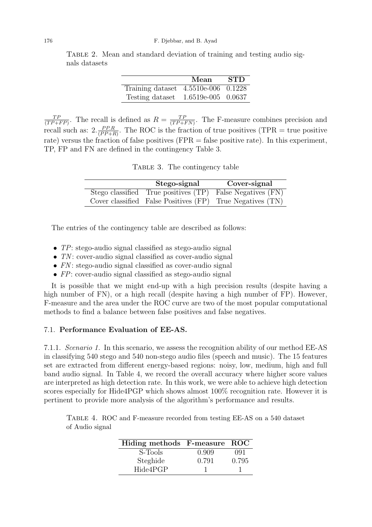Table 2. Mean and standard deviation of training and testing audio signals datasets

|                                       | Mean               | <b>STD</b> |
|---------------------------------------|--------------------|------------|
| Training dataset $4.5510e-006$ 0.1228 |                    |            |
| Testing dataset                       | 1.6519e-005 0.0637 |            |

 $TF$  $\frac{TP}{(TP+FP)}$ . The recall is defined as  $R = \frac{TP}{(TP+FP)}$ .  $\frac{TP}{(TP+FN)}$ . The F-measure combines precision and recall such as:  $2.\frac{PP.R}{(PP+P)}$  $\frac{PP.R}{(PP+R)}$ . The ROC is the fraction of true positives (TPR = true positive rate) versus the fraction of false positives (FPR = false positive rate). In this experiment, TP, FP and FN are defined in the contingency Table 3.

TABLE 3. The contingency table

| Stego-signal | Cover-signal                                              |
|--------------|-----------------------------------------------------------|
|              | Stego classified True positives (TP) False Negatives (FN) |
|              | Cover classified False Positives (FP) True Negatives (TN) |

The entries of the contingency table are described as follows:

- TP: stego-audio signal classified as stego-audio signal
- $TN$ : cover-audio signal classified as cover-audio signal
- $FN$ : stego-audio signal classified as cover-audio signal
- FP: cover-audio signal classified as stego-audio signal

It is possible that we might end-up with a high precision results (despite having a high number of FN), or a high recall (despite having a high number of FP). However, F-measure and the area under the ROC curve are two of the most popular computational methods to find a balance between false positives and false negatives.

## 7.1. Performance Evaluation of EE-AS.

7.1.1. Scenario 1. In this scenario, we assess the recognition ability of our method EE-AS in classifying 540 stego and 540 non-stego audio files (speech and music). The 15 features set are extracted from different energy-based regions: noisy, low, medium, high and full band audio signal. In Table 4, we record the overall accuracy where higher score values are interpreted as high detection rate. In this work, we were able to achieve high detection scores especially for Hide4PGP which shows almost 100% recognition rate. However it is pertinent to provide more analysis of the algorithm's performance and results.

Table 4. ROC and F-measure recorded from testing EE-AS on a 540 dataset of Audio signal

| Hiding methods F-measure ROC |       |       |
|------------------------------|-------|-------|
| S-Tools                      | 0.909 | 091   |
| Steghide                     | 0.791 | 0.795 |
| Hide4PGP                     |       |       |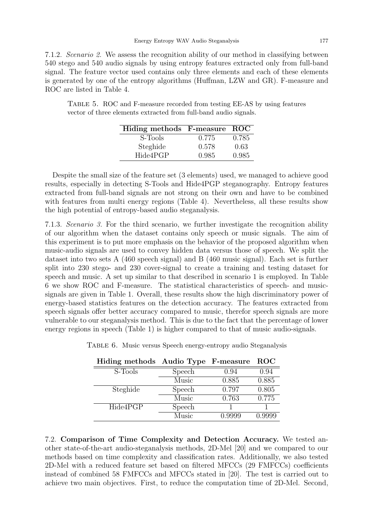7.1.2. Scenario 2. We assess the recognition ability of our method in classifying between 540 stego and 540 audio signals by using entropy features extracted only from full-band signal. The feature vector used contains only three elements and each of these elements is generated by one of the entropy algorithms (Huffman, LZW and GR). F-measure and ROC are listed in Table 4.

Table 5. ROC and F-measure recorded from testing EE-AS by using features vector of three elements extracted from full-band audio signals.

| Hiding methods F-measure ROC |       |       |
|------------------------------|-------|-------|
| S-Tools                      | 0.775 | 0.785 |
| Steghide                     | 0.578 | 0.63  |
| Hide4PGP                     | 0.985 | 0.985 |

Despite the small size of the feature set (3 elements) used, we managed to achieve good results, especially in detecting S-Tools and Hide4PGP steganography. Entropy features extracted from full-band signals are not strong on their own and have to be combined with features from multi energy regions (Table 4). Nevertheless, all these results show the high potential of entropy-based audio steganalysis.

7.1.3. Scenario 3. For the third scenario, we further investigate the recognition ability of our algorithm when the dataset contains only speech or music signals. The aim of this experiment is to put more emphasis on the behavior of the proposed algorithm when music-audio signals are used to convey hidden data versus those of speech. We split the dataset into two sets A (460 speech signal) and B (460 music signal). Each set is further split into 230 stego- and 230 cover-signal to create a training and testing dataset for speech and music. A set up similar to that described in scenario 1 is employed. In Table 6 we show ROC and F-measure. The statistical characteristics of speech- and musicsignals are given in Table 1. Overall, these results show the high discriminatory power of energy-based statistics features on the detection accuracy. The features extracted from speech signals offer better accuracy compared to music, therefor speech signals are more vulnerable to our steganalysis method. This is due to the fact that the percentage of lower energy regions in speech (Table 1) is higher compared to that of music audio-signals.

| Hiding methods Audio Type F-measure |        |        | <b>ROC</b> |
|-------------------------------------|--------|--------|------------|
| S-Tools                             | Speech | 0.94   | 0.94       |
|                                     | Music  | 0.885  | 0.885      |
| Steghide                            | Speech | 0.797  | 0.805      |
|                                     | Music  | 0.763  | 0.775      |
| Hide4PGP                            | Speech |        |            |
|                                     | Music  | 0.9999 | 0.9999     |

Table 6. Music versus Speech energy-entropy audio Steganalysis

7.2. Comparison of Time Complexity and Detection Accuracy. We tested another state-of-the-art audio-steganalysis methods, 2D-Mel [20] and we compared to our methods based on time complexity and classification rates. Additionally, we also tested 2D-Mel with a reduced feature set based on filtered MFCCs (29 FMFCCs) coefficients instead of combined 58 FMFCCs and MFCCs stated in [20]. The test is carried out to achieve two main objectives. First, to reduce the computation time of 2D-Mel. Second,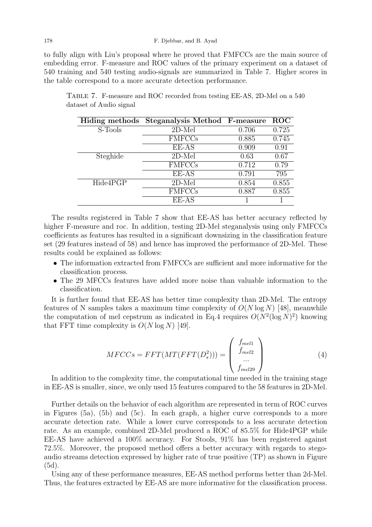to fully align with Liu's proposal where he proved that FMFCCs are the main source of embedding error. F-measure and ROC values of the primary experiment on a dataset of 540 training and 540 testing audio-signals are summarized in Table 7. Higher scores in the table correspond to a more accurate detection performance.

|          | Hiding methods Steganalysis Method F-measure |       | $\overline{ROC}$ |
|----------|----------------------------------------------|-------|------------------|
| S-Tools  | $2D-Mel$                                     | 0.706 | 0.725            |
|          | <b>FMFCCs</b>                                | 0.885 | 0.745            |
|          | EE-AS                                        | 0.909 | 0.91             |
| Steghide | $2D-Mel$                                     | 0.63  | 0.67             |
|          | <b>FMFCCs</b>                                | 0.712 | 0.79             |
|          | EE-AS                                        | 0.791 | 795              |
| Hide4PGP | $2D-Mel$                                     | 0.854 | 0.855            |
|          | <b>FMFCCs</b>                                | 0.887 | 0.855            |
|          | EE-AS                                        |       |                  |

Table 7. F-measure and ROC recorded from testing EE-AS, 2D-Mel on a 540 dataset of Audio signal

The results registered in Table 7 show that EE-AS has better accuracy reflected by higher F-measure and roc. In addition, testing 2D-Mel steganalysis using only FMFCCs coefficients as features has resulted in a significant downsizing in the classification feature set (29 features instead of 58) and hence has improved the performance of 2D-Mel. These results could be explained as follows:

- The information extracted from FMFCCs are sufficient and more informative for the classification process.
- The 29 MFCCs features have added more noise than valuable information to the classification.

It is further found that EE-AS has better time complexity than 2D-Mel. The entropy features of N samples takes a maximum time complexity of  $O(N \log N)$  [48], meanwhile the computation of mel cepstrum as indicated in Eq.4 requires  $O(N^2(\log N)^2)$  knowing that FFT time complexity is  $O(N \log N)$  [49].

$$
MFCCs = FFT(MT(FFT(D_s^2))) = \begin{pmatrix} f_{mel1} \\ f_{mel2} \\ \dots \\ f_{mel29} \end{pmatrix}
$$
 (4)

In addition to the complexity time, the computational time needed in the training stage in EE-AS is smaller, since, we only used 15 features compared to the 58 features in 2D-Mel.

Further details on the behavior of each algorithm are represented in term of ROC curves in Figures (5a), (5b) and (5c). In each graph, a higher curve corresponds to a more accurate detection rate. While a lower curve corresponds to a less accurate detection rate. As an example, combined 2D-Mel produced a ROC of 85.5% for Hide4PGP while EE-AS have achieved a 100% accuracy. For Stools, 91% has been registered against 72.5%. Moreover, the proposed method offers a better accuracy with regards to stegoaudio streams detection expressed by higher rate of true positive (TP) as shown in Figure (5d).

Using any of these performance measures, EE-AS method performs better than 2d-Mel. Thus, the features extracted by EE-AS are more informative for the classification process.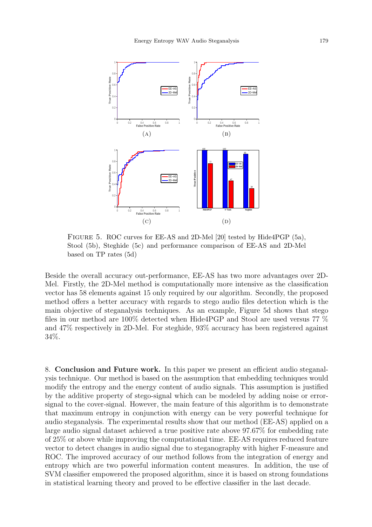

Figure 5. ROC curves for EE-AS and 2D-Mel [20] tested by Hide4PGP (5a), Stool (5b), Steghide (5c) and performance comparison of EE-AS and 2D-Mel based on TP rates (5d)

Beside the overall accuracy out-performance, EE-AS has two more advantages over 2D-Mel. Firstly, the 2D-Mel method is computationally more intensive as the classification vector has 58 elements against 15 only required by our algorithm. Secondly, the proposed method offers a better accuracy with regards to stego audio files detection which is the main objective of steganalysis techniques. As an example, Figure 5d shows that stego files in our method are 100% detected when Hide4PGP and Stool are used versus 77 % and 47% respectively in 2D-Mel. For steghide, 93% accuracy has been registered against 34%.

8. Conclusion and Future work. In this paper we present an efficient audio steganalysis technique. Our method is based on the assumption that embedding techniques would modify the entropy and the energy content of audio signals. This assumption is justified by the additive property of stego-signal which can be modeled by adding noise or errorsignal to the cover-signal. However, the main feature of this algorithm is to demonstrate that maximum entropy in conjunction with energy can be very powerful technique for audio steganalysis. The experimental results show that our method (EE-AS) applied on a large audio signal dataset achieved a true positive rate above 97.67% for embedding rate of 25% or above while improving the computational time. EE-AS requires reduced feature vector to detect changes in audio signal due to steganography with higher F-measure and ROC. The improved accuracy of our method follows from the integration of energy and entropy which are two powerful information content measures. In addition, the use of SVM classifier empowered the proposed algorithm, since it is based on strong foundations in statistical learning theory and proved to be effective classifier in the last decade.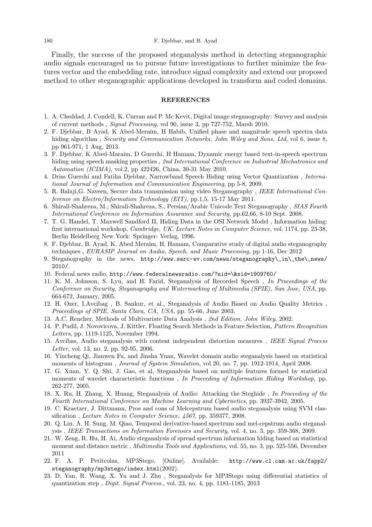Finally, the success of the proposed steganalysis method in detecting steganographic audio signals encouraged us to pursue future investigations to further minimize the features vector and the embedding rate, introduce signal complexity and extend our proposed method to other steganographic applications developed in transform and coded domains.

#### REFERENCES

- 1. A. Cheddad, J. Condell, K. Curran and P. Mc Kevit, Digital image steganography: Survey and analysis of current methods , Signal Processing, vol 90, issue 3, pp 727-752, Marsh 2010.
- 2. F. Djebbar, B Ayad, K Abed-Meraim, H Habib, Unified phase and magnitude speech spectra data hiding algorithm, Security and Communication Networks, John Wiley and Sons, Ltd, vol 6, issue 8, pp 961-971, 1 Aug, 2013.
- 3. F. Djebbar, K Abed-Maraim, D Guerchi, H Hamam, Dynamic energy based text-in-speech spectrum hiding using speech masking properties, 2nd International Conference on Industrial Mechatronics and Automation (ICIMA), vol.2, pp 422426, China, 30-31 May 2010.
- 4. Driss Guerchi and Fatiha Djebbar, Narrowband Speech Hiding using Vector Quantization , International Journal of Information and Communication Engineering, pp 5-8, 2009.
- 5. R. Balaji,G. Naveen, Secure data transmission using video Steganography , IEEE International Conference on Electro/Information Technology (EIT), pp.1,5, 15-17 May 2011.
- 6. Shirali-Shahreza, M.; Shirali-Shahreza, S., Persian/Arabic Unicode Text Steganography , SIAS Fourth International Conference on Information Assurance and Security, pp.62,66, 8-10 Sept. 2008.
- 7. T. G. Handel, T. Maxwell Sandford II, Hiding Data in the OSI Network Model , Information hiding: first international workshop, Cambridge, UK. Lecture Notes in Computer Science, vol. 1174, pp. 23-38, Berlin Heidelberg New York: Springer- Verlag, 1996.
- 8. F. Djebbar, B. Ayad, K. Abed Meraim, H. Hamam, Comparative study of digital audio steganography techniques , EURASIP Journal on Audio, Speech, and Music Processing, pp 1-16, Dec 2012
- 9. Steganography in the news, http://www.sarc-wv.com/news/steganography\\_in\\_the\\_news/ 2010/.
- 10. Federal news radio, http://www.federalnewsradio.com/?nid=\&sid=1909760/
- 11. K. M. Johnson, S. Lyu, and H. Farid, Steganalysis of Recorded Speech , In Proceedings of the Conference on Security, Steganography and Watermarking of Multimedia (SPIE), San Jose, USA, pp. 664-672, January, 2005.
- 12. H. Ozer, I.Avcibag , B. Sankur, et al., Steganalysis of Audio Based on Audio Quality Metrics , Proceedings of SPIE, Santa Clara, CA, USA, pp. 55-66, June 2003.
- 13. A.C. Rencher, Methods of Multivariate Data Analysis , 2nd Edition. John Wiley, 2002.
- 14. P. Pudil, J. Novovicova, J. Kittler, Floating Search Methods in Feature Selection, Pattern Recognition Letters, pp. 1119-1125, November 1994.
- 15. Avcibas, Audio steganalysis with content independent distortion measures , IEEE Signal Process Letter, vol. 13, no. 2, pp. 92-95, 2006.
- 16. Yincheng Qi, Jianwen Fu, and Jinsha Yuan, Wavelet domain audio steganalysis based on statistical moments of histogram, *Journal of System Simulation*, vol 20, no. 7, pp. 1912-1914, April 2008.
- 17. G. Xuan, Y. Q. Shi, J. Gao, et al, Steganalysis based on multiple features formed by statistical moments of wavelet characteristic functions, In Proceeding of Information Hiding Workshop, pp. 262-277, 2005.
- 18. X. Ru, H. Zhang, X. Huang, Steganalysis of Audio: Attacking the Steghide , In Proceeding of the Fourth International Conference on Machine Learning and Cybernetics, pp. 3937-3942, 2005.
- 19. C. Kraetzer, J. Dittmann, Pros and cons of Melcepstrum based audio steganalysis using SVM classification , Lecture Notes in Computer Science, 4567, pp. 359377, 2008.
- 20. Q. Liu, A. H. Sung, M. Qiao, Temporal derivative-based spectrum and mel-cepstrum audio steganalysis , IEEE Transactions on Information Forensics and Security, vol. 4, no. 3, pp. 359-368, 2009.
- 21. W. Zeng, R. Hu, H. Ai, Audio steganalysis of spread spectrum information hiding based on statistical moment and distance metric, *Multimedia Tools and Applications*, vol. 55, no. 3, pp. 525-556, December 2011
- 22. F. A. P. Petitcolas, MP3Stego, [Online]. Available: http://www.cl.cam.ac.uk/fapp2/ steganography/mp3stego/index.html(2002).
- 23. D. Yan, R. Wang, X. Yu and J. Zhu , Steganalysis for MP3Stego using differential statistics of quantization step , Digit. Signal Process., vol. 23, no. 4, pp. 1181-1185, 2013